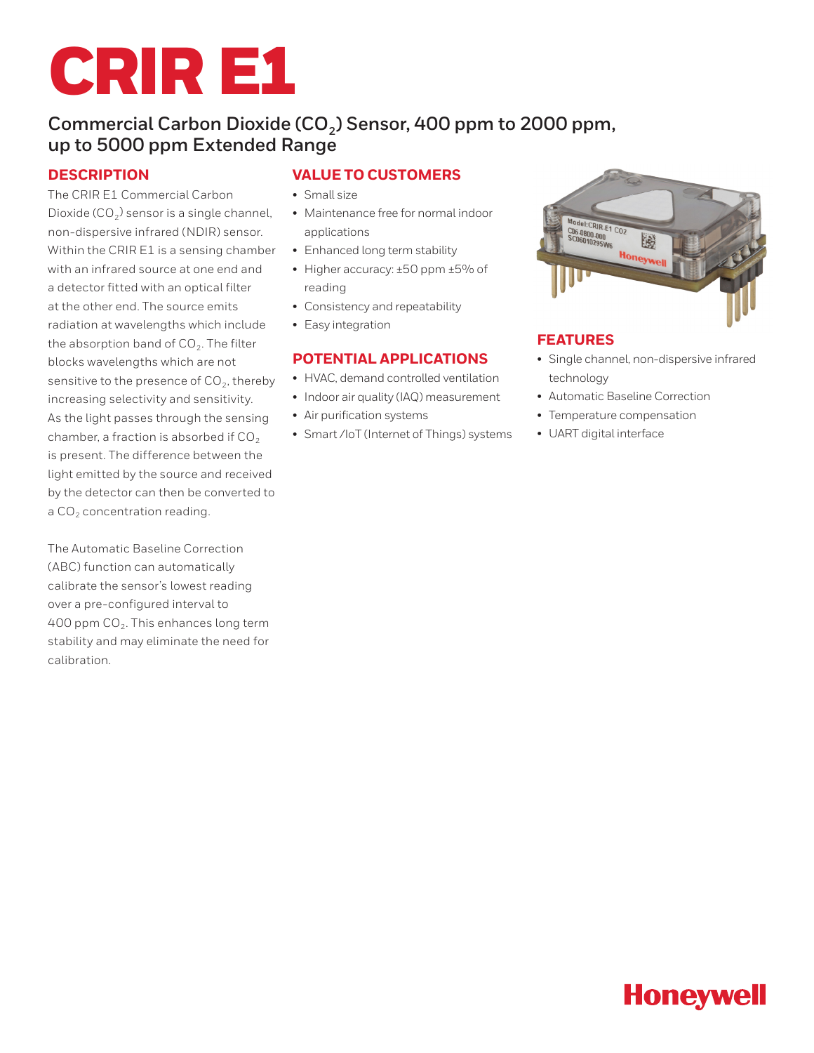

## Commercial Carbon Dioxide (CO<sub>2</sub>) Sensor, 400 ppm to 2000 ppm, **up to 5000 ppm Extended Range**

### **DESCRIPTION**

The CRIR E1 Commercial Carbon Dioxide ( $CO<sub>2</sub>$ ) sensor is a single channel, non-dispersive infrared (NDIR) sensor. Within the CRIR E1 is a sensing chamber with an infrared source at one end and a detector fitted with an optical filter at the other end. The source emits radiation at wavelengths which include the absorption band of  $CO<sub>2</sub>$ . The filter blocks wavelengths which are not sensitive to the presence of  $CO<sub>2</sub>$ , thereby increasing selectivity and sensitivity. As the light passes through the sensing chamber, a fraction is absorbed if  $CO<sub>2</sub>$ is present. The difference between the light emitted by the source and received by the detector can then be converted to a  $CO<sub>2</sub>$  concentration reading.

The Automatic Baseline Correction (ABC) function can automatically calibrate the sensor's lowest reading over a pre-configured interval to 400 ppm  $CO<sub>2</sub>$ . This enhances long term stability and may eliminate the need for calibration.

### **VALUE TO CUSTOMERS**

- Small size
- Maintenance free for normal indoor applications
- Enhanced long term stability
- Higher accuracy: ±50 ppm ±5% of reading
- Consistency and repeatability
- Easy integration

### **POTENTIAL APPLICATIONS**

- HVAC, demand controlled ventilation
- Indoor air quality (IAQ) measurement
- Air purification systems
- Smart /IoT (Internet of Things) systems



### **FEATURES**

- Single channel, non-dispersive infrared technology
- Automatic Baseline Correction
- Temperature compensation
- UART digital interface

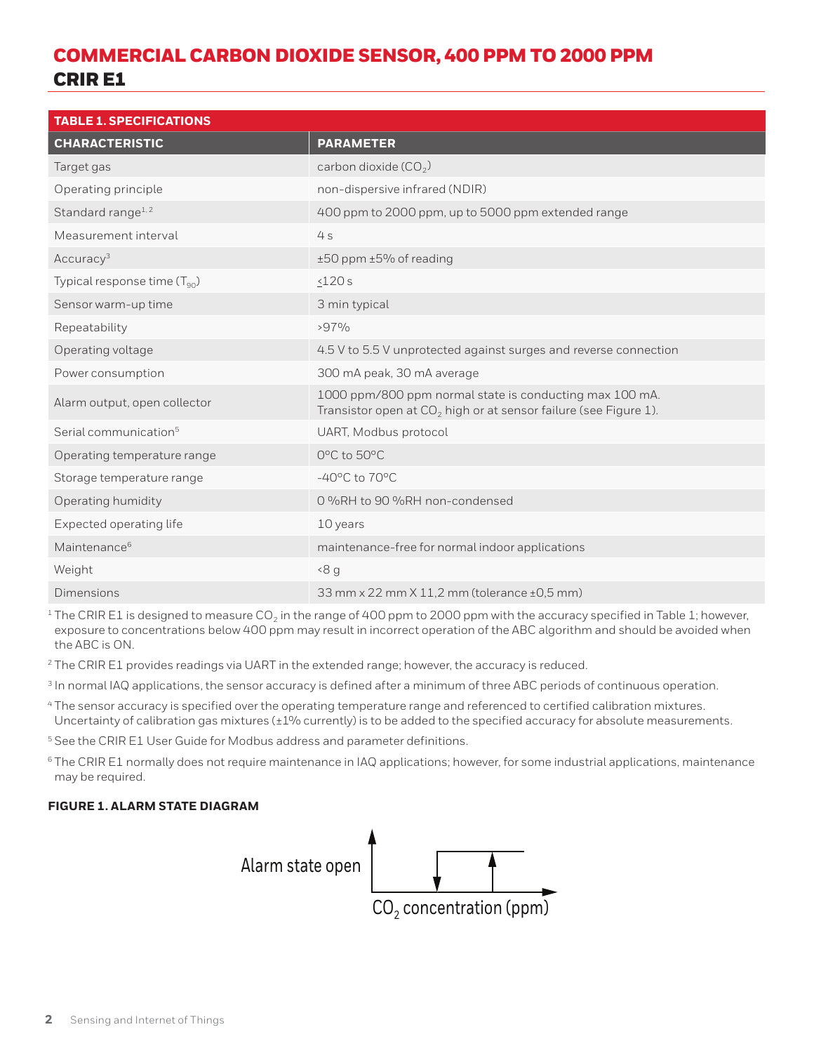# COMMERCIAL CARBON DIOXIDE SENSOR, 400 PPM TO 2000 PPM CRIR E1

| <b>TABLE 1. SPECIFICATIONS</b>    |                                                                                                                               |  |
|-----------------------------------|-------------------------------------------------------------------------------------------------------------------------------|--|
| <b>CHARACTERISTIC</b>             | <b>PARAMETER</b>                                                                                                              |  |
| Target gas                        | carbon dioxide $(CO2)$                                                                                                        |  |
| Operating principle               | non-dispersive infrared (NDIR)                                                                                                |  |
| Standard range <sup>1,2</sup>     | 400 ppm to 2000 ppm, up to 5000 ppm extended range                                                                            |  |
| Measurement interval              | 4s                                                                                                                            |  |
| Accuracy <sup>3</sup>             | ±50 ppm ±5% of reading                                                                                                        |  |
| Typical response time $(T_{90})$  | $\leq$ 120 $s$                                                                                                                |  |
| Sensor warm-up time               | 3 min typical                                                                                                                 |  |
| Repeatability                     | $>97\%$                                                                                                                       |  |
| Operating voltage                 | 4.5 V to 5.5 V unprotected against surges and reverse connection                                                              |  |
| Power consumption                 | 300 mA peak, 30 mA average                                                                                                    |  |
| Alarm output, open collector      | 1000 ppm/800 ppm normal state is conducting max 100 mA.<br>Transistor open at $CO2$ high or at sensor failure (see Figure 1). |  |
| Serial communication <sup>5</sup> | UART, Modbus protocol                                                                                                         |  |
| Operating temperature range       | 0°C to 50°C                                                                                                                   |  |
| Storage temperature range         | $-40^{\circ}$ C to $70^{\circ}$ C                                                                                             |  |
| Operating humidity                | 0%RH to 90%RH non-condensed                                                                                                   |  |
| Expected operating life           | 10 years                                                                                                                      |  |
| Maintenance <sup>6</sup>          | maintenance-free for normal indoor applications                                                                               |  |
| Weight                            | 8 <sub>q</sub>                                                                                                                |  |
| <b>Dimensions</b>                 | 33 mm x 22 mm X 11,2 mm (tolerance ±0,5 mm)                                                                                   |  |

 $1$  The CRIR E1 is designed to measure CO<sub>2</sub> in the range of 400 ppm to 2000 ppm with the accuracy specified in Table 1; however, exposure to concentrations below 400 ppm may result in incorrect operation of the ABC algorithm and should be avoided when the ABC is ON.

<sup>2</sup> The CRIR E1 provides readings via UART in the extended range; however, the accuracy is reduced.

<sup>3</sup> In normal IAQ applications, the sensor accuracy is defined after a minimum of three ABC periods of continuous operation.

- <sup>4</sup> The sensor accuracy is specified over the operating temperature range and referenced to certified calibration mixtures. Uncertainty of calibration gas mixtures (±1% currently) is to be added to the specified accuracy for absolute measurements.
- <sup>5</sup> See the CRIR E1 User Guide for Modbus address and parameter definitions.
- <sup>6</sup> The CRIR E1 normally does not require maintenance in IAQ applications; however, for some industrial applications, maintenance may be required.

### **FIGURE 1. ALARM STATE DIAGRAM**

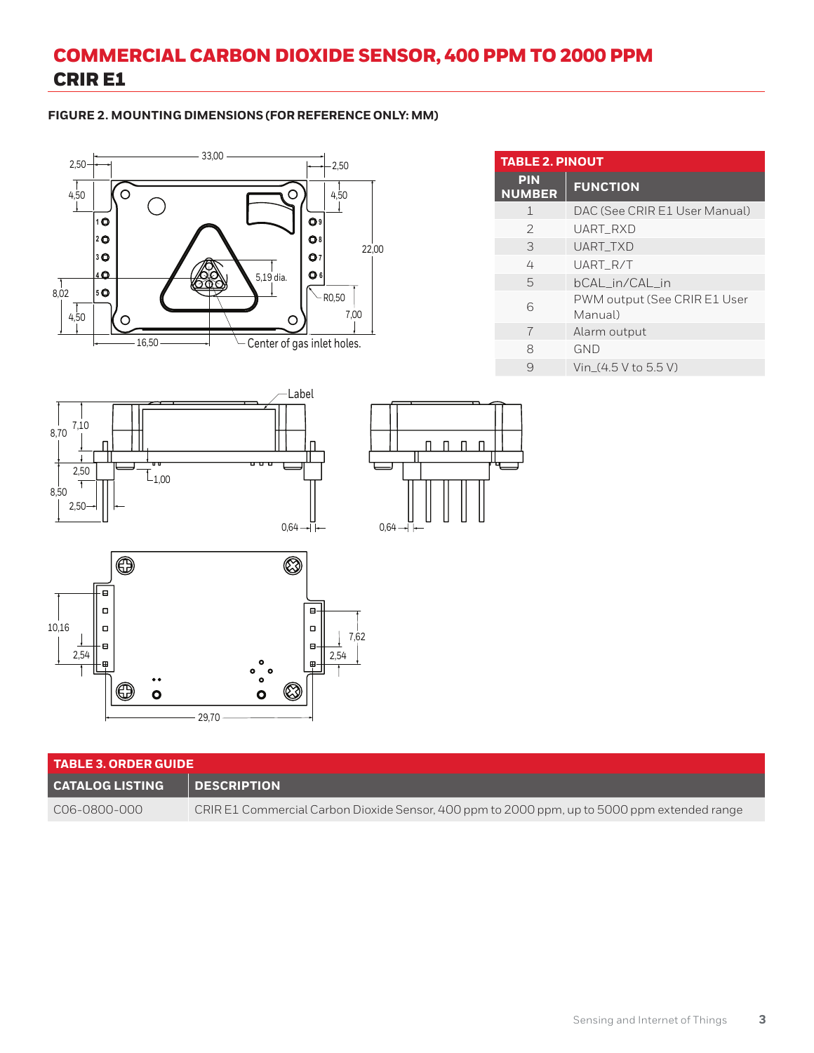# COMMERCIAL CARBON DIOXIDE SENSOR, 400 PPM TO 2000 PPM CRIR E1

### **FIGURE 2. MOUNTING DIMENSIONS (FOR REFERENCE ONLY: MM)**



| <b>TABLE 2. PINOUT</b>      |                                         |  |
|-----------------------------|-----------------------------------------|--|
| <b>PIN</b><br><b>NUMBER</b> | <b>FUNCTION</b>                         |  |
| $\mathbf{1}$                | DAC (See CRIR E1 User Manual)           |  |
| $\mathcal{P}$               | UART RXD                                |  |
| 3                           | <b>UART TXD</b>                         |  |
| 4                           | UART R/T                                |  |
| 5                           | bCAL_in/CAL_in                          |  |
| 6                           | PWM output (See CRIR E1 User<br>Manual) |  |
| 7                           | Alarm output                            |  |
| 8                           | <b>GND</b>                              |  |
| 9                           | Vin $(4.5 V to 5.5 V)$                  |  |







| <b>TABLE 3. ORDER GUIDE</b> |                                                                                              |  |
|-----------------------------|----------------------------------------------------------------------------------------------|--|
| <b>CATALOG LISTING</b>      | <b>DESCRIPTION</b>                                                                           |  |
| C06-0800-000                | CRIR E1 Commercial Carbon Dioxide Sensor, 400 ppm to 2000 ppm, up to 5000 ppm extended range |  |